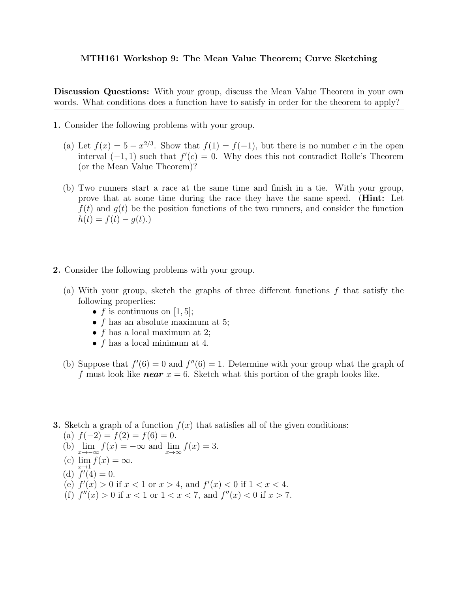## MTH161 Workshop 9: The Mean Value Theorem; Curve Sketching

Discussion Questions: With your group, discuss the Mean Value Theorem in your own words. What conditions does a function have to satisfy in order for the theorem to apply?

- 1. Consider the following problems with your group.
	- (a) Let  $f(x) = 5 x^{2/3}$ . Show that  $f(1) = f(-1)$ , but there is no number c in the open interval  $(-1, 1)$  such that  $f'(c) = 0$ . Why does this not contradict Rolle's Theorem (or the Mean Value Theorem)?
	- (b) Two runners start a race at the same time and finish in a tie. With your group, prove that at some time during the race they have the same speed. (Hint: Let  $f(t)$  and  $g(t)$  be the position functions of the two runners, and consider the function  $h(t) = f(t) - g(t)$ .
- 2. Consider the following problems with your group.
	- (a) With your group, sketch the graphs of three different functions  $f$  that satisfy the following properties:
		- f is continuous on [1, 5];
		- $f$  has an absolute maximum at 5;
		- $f$  has a local maximum at 2;
		- $f$  has a local minimum at 4.
	- (b) Suppose that  $f'(6) = 0$  and  $f''(6) = 1$ . Determine with your group what the graph of f must look like **near**  $x = 6$ . Sketch what this portion of the graph looks like.
- **3.** Sketch a graph of a function  $f(x)$  that satisfies all of the given conditions:

(a) 
$$
f(-2) = f(2) = f(6) = 0.
$$

- (b)  $\lim_{x \to -\infty} f(x) = -\infty$  and  $\lim_{x \to \infty} f(x) = 3$ .
- (c)  $\lim_{x \to 1} f(x) = \infty$ .
- (d)  $f'(4) = 0$ .
- (e)  $f'(x) > 0$  if  $x < 1$  or  $x > 4$ , and  $f'(x) < 0$  if  $1 < x < 4$ .
- (f)  $f''(x) > 0$  if  $x < 1$  or  $1 < x < 7$ , and  $f''(x) < 0$  if  $x > 7$ .